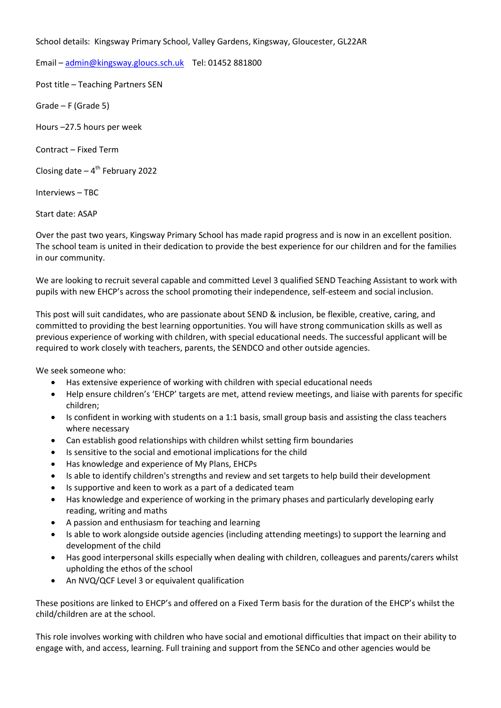School details: Kingsway Primary School, Valley Gardens, Kingsway, Gloucester, GL22AR

Email – [admin@kingsway.gloucs.sch.uk](mailto:admin@kingsway.gloucs.sch.uk) Tel: 01452 881800

Post title – Teaching Partners SEN

Grade – F (Grade 5)

Hours –27.5 hours per week

Contract – Fixed Term

Closing date – 4<sup>th</sup> February 2022

Interviews – TBC

Start date: ASAP

Over the past two years, Kingsway Primary School has made rapid progress and is now in an excellent position. The school team is united in their dedication to provide the best experience for our children and for the families in our community.

We are looking to recruit several capable and committed Level 3 qualified SEND Teaching Assistant to work with pupils with new EHCP's across the school promoting their independence, self-esteem and social inclusion.

This post will suit candidates, who are passionate about SEND & inclusion, be flexible, creative, caring, and committed to providing the best learning opportunities. You will have strong communication skills as well as previous experience of working with children, with special educational needs. The successful applicant will be required to work closely with teachers, parents, the SENDCO and other outside agencies.

We seek someone who:

- Has extensive experience of working with children with special educational needs
- Help ensure children's 'EHCP' targets are met, attend review meetings, and liaise with parents for specific children;
- Is confident in working with students on a 1:1 basis, small group basis and assisting the class teachers where necessary
- Can establish good relationships with children whilst setting firm boundaries
- Is sensitive to the social and emotional implications for the child
- Has knowledge and experience of My Plans, EHCPs
- Is able to identify children's strengths and review and set targets to help build their development
- Is supportive and keen to work as a part of a dedicated team
- Has knowledge and experience of working in the primary phases and particularly developing early reading, writing and maths
- A passion and enthusiasm for teaching and learning
- Is able to work alongside outside agencies (including attending meetings) to support the learning and development of the child
- Has good interpersonal skills especially when dealing with children, colleagues and parents/carers whilst upholding the ethos of the school
- An NVQ/QCF Level 3 or equivalent qualification

These positions are linked to EHCP's and offered on a Fixed Term basis for the duration of the EHCP's whilst the child/children are at the school.

This role involves working with children who have social and emotional difficulties that impact on their ability to engage with, and access, learning. Full training and support from the SENCo and other agencies would be